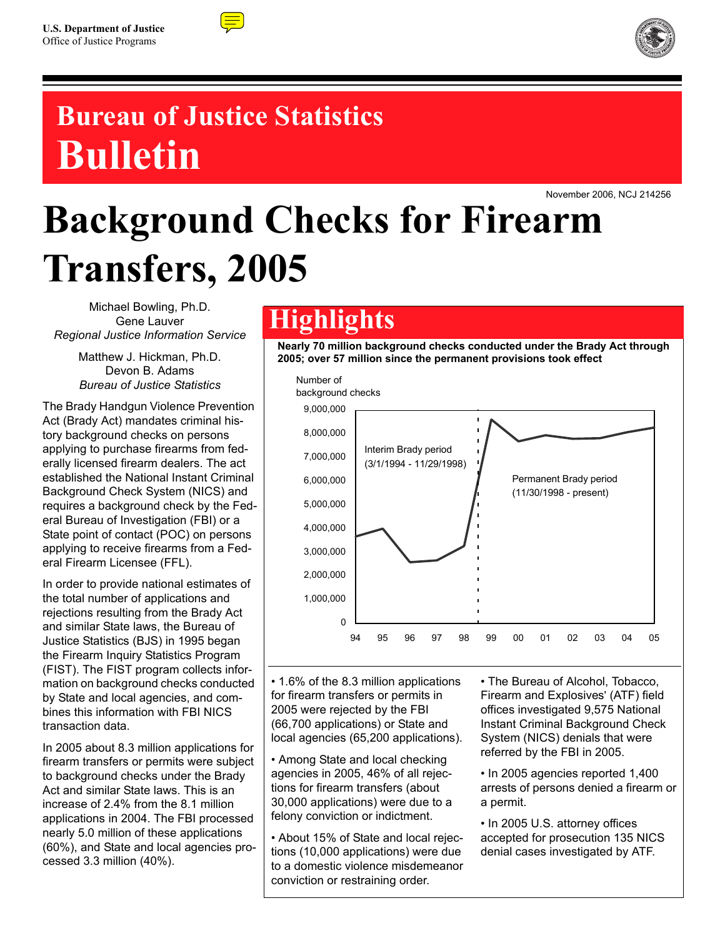



# **Bureau of Justice Statistics Bulletin**

November 2006, NCJ 214256

# **Background Checks for Firearm Transfers, 2005**

Michael Bowling, Ph.D. Gene Lauver *Regional Justice Information Service*

> Matthew J. Hickman, Ph.D. Devon B. Adams *Bureau of Justice Statistics*

The Brady Handgun Violence Prevention Act (Brady Act) mandates criminal history background checks on persons applying to purchase firearms from federally licensed firearm dealers. The act established the National Instant Criminal Background Check System (NICS) and requires a background check by the Federal Bureau of Investigation (FBI) or a State point of contact (POC) on persons applying to receive firearms from a Federal Firearm Licensee (FFL).

In order to provide national estimates of the total number of applications and rejections resulting from the Brady Act and similar State laws, the Bureau of Justice Statistics (BJS) in 1995 began the Firearm Inquiry Statistics Program (FIST). The FIST program collects information on background checks conducted by State and local agencies, and combines this information with FBI NICS transaction data.

In 2005 about 8.3 million applications for firearm transfers or permits were subject to background checks under the Brady Act and similar State laws. This is an increase of 2.4% from the 8.1 million applications in 2004. The FBI processed nearly 5.0 million of these applications (60%), and State and local agencies processed 3.3 million (40%).

# **Highlights**

**Nearly 70 million background checks conducted under the Brady Act through 2005; over 57 million since the permanent provisions took effect** 



• 1.6% of the 8.3 million applications for firearm transfers or permits in 2005 were rejected by the FBI (66,700 applications) or State and local agencies (65,200 applications).

• Among State and local checking agencies in 2005, 46% of all rejections for firearm transfers (about 30,000 applications) were due to a felony conviction or indictment.

• About 15% of State and local rejections (10,000 applications) were due to a domestic violence misdemeanor conviction or restraining order.

• The Bureau of Alcohol, Tobacco, Firearm and Explosives' (ATF) field offices investigated 9,575 National Instant Criminal Background Check System (NICS) denials that were referred by the FBI in 2005.

• In 2005 agencies reported 1,400 arrests of persons denied a firearm or a permit.

• In 2005 U.S. attorney offices accepted for prosecution 135 NICS denial cases investigated by ATF.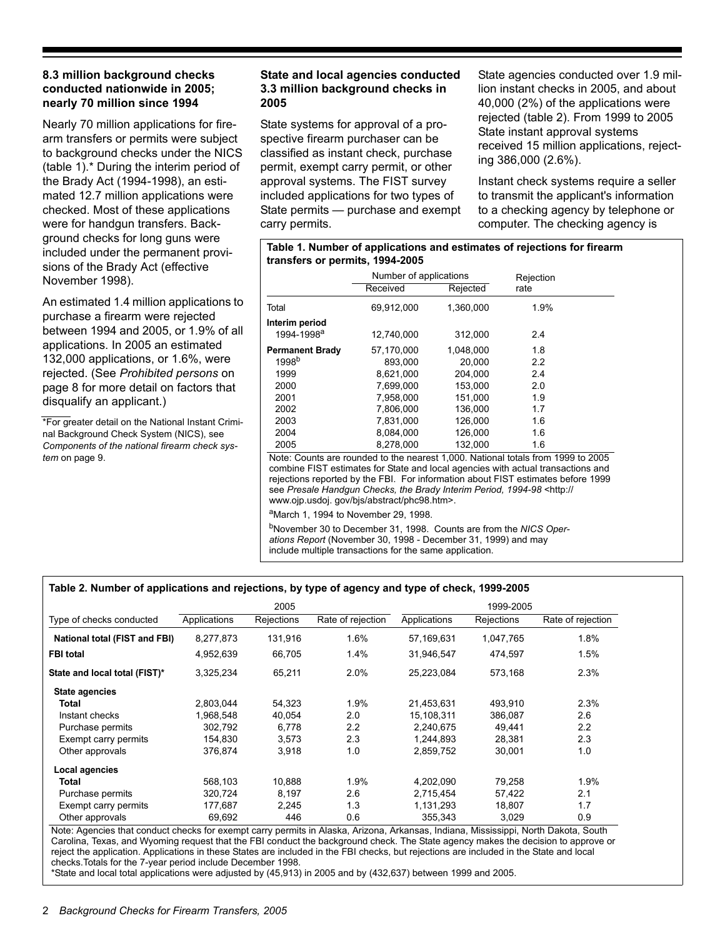# **8.3 million background checks conducted nationwide in 2005; nearly 70 million since 1994**

Nearly 70 million applications for firearm transfers or permits were subject to background checks under the NICS (table 1).\* During the interim period of the Brady Act (1994-1998), an estimated 12.7 million applications were checked. Most of these applications were for handgun transfers. Background checks for long guns were included under the permanent provisions of the Brady Act (effective November 1998).

An estimated 1.4 million applications to purchase a firearm were rejected between 1994 and 2005, or 1.9% of all applications. In 2005 an estimated 132,000 applications, or 1.6%, were rejected. (See *Prohibited persons* on page 8 for more detail on factors that disqualify an applicant.)

\*For greater detail on the National Instant Criminal Background Check System (NICS), see *Components of the national firearm check system* on page 9.

# **State and local agencies conducted 3.3 million background checks in 2005**

State systems for approval of a prospective firearm purchaser can be classified as instant check, purchase permit, exempt carry permit, or other approval systems. The FIST survey included applications for two types of State permits — purchase and exempt carry permits.

**transfers or permits, 1994-2005** 

State agencies conducted over 1.9 million instant checks in 2005, and about 40,000 (2%) of the applications were rejected (table 2). From 1999 to 2005 State instant approval systems received 15 million applications, rejecting 386,000 (2.6%).

Instant check systems require a seller to transmit the applicant's information to a checking agency by telephone or computer. The checking agency is

|                                                                                                                                                                                                           | Number of applications |           | Rejection                                                                                                                                                                                                                                                |  |  |  |
|-----------------------------------------------------------------------------------------------------------------------------------------------------------------------------------------------------------|------------------------|-----------|----------------------------------------------------------------------------------------------------------------------------------------------------------------------------------------------------------------------------------------------------------|--|--|--|
|                                                                                                                                                                                                           | Received               | Rejected  | rate                                                                                                                                                                                                                                                     |  |  |  |
| Total                                                                                                                                                                                                     | 69,912,000             | 1,360,000 | 1.9%                                                                                                                                                                                                                                                     |  |  |  |
| Interim period                                                                                                                                                                                            |                        |           |                                                                                                                                                                                                                                                          |  |  |  |
| 1994-1998 <sup>a</sup>                                                                                                                                                                                    | 12,740,000             | 312,000   | 2.4                                                                                                                                                                                                                                                      |  |  |  |
| <b>Permanent Brady</b>                                                                                                                                                                                    | 57,170,000             | 1,048,000 | 1.8                                                                                                                                                                                                                                                      |  |  |  |
| 1998 <sup>b</sup>                                                                                                                                                                                         | 893,000                | 20,000    | 2.2                                                                                                                                                                                                                                                      |  |  |  |
| 1999                                                                                                                                                                                                      | 8,621,000              | 204,000   | 2.4                                                                                                                                                                                                                                                      |  |  |  |
| 2000                                                                                                                                                                                                      | 7,699,000              | 153,000   | 2.0                                                                                                                                                                                                                                                      |  |  |  |
| 2001                                                                                                                                                                                                      | 7,958,000              | 151,000   | 1.9                                                                                                                                                                                                                                                      |  |  |  |
| 2002                                                                                                                                                                                                      | 7,806,000              | 136,000   | 1.7                                                                                                                                                                                                                                                      |  |  |  |
| 2003                                                                                                                                                                                                      | 7,831,000              | 126,000   | 1.6                                                                                                                                                                                                                                                      |  |  |  |
| 2004                                                                                                                                                                                                      | 8.084.000              | 126.000   | 1.6                                                                                                                                                                                                                                                      |  |  |  |
| 2005                                                                                                                                                                                                      | 8,278,000              | 132,000   | 1.6                                                                                                                                                                                                                                                      |  |  |  |
| see Presale Handgun Checks, the Brady Interim Period, 1994-98 <http: <br="">www.ojp.usdoj.gov/bjs/abstract/phc98.htm&gt;.</http:>                                                                         |                        |           | Note: Counts are rounded to the nearest 1,000. National totals from 1999 to 2005<br>combine FIST estimates for State and local agencies with actual transactions and<br>rejections reported by the FBI. For information about FIST estimates before 1999 |  |  |  |
| <sup>a</sup> March 1, 1994 to November 29, 1998.                                                                                                                                                          |                        |           |                                                                                                                                                                                                                                                          |  |  |  |
| <sup>b</sup> November 30 to December 31, 1998. Counts are from the NICS Oper-<br>ations Report (November 30, 1998 - December 31, 1999) and may<br>include multiple transactions for the same application. |                        |           |                                                                                                                                                                                                                                                          |  |  |  |

**Table 1. Number of applications and estimates of rejections for firearm** 

# **Table 2. Number of applications and rejections, by type of agency and type of check, 1999-2005**

|                               |              | 2005              |                   |              | 1999-2005  |                   |
|-------------------------------|--------------|-------------------|-------------------|--------------|------------|-------------------|
| Type of checks conducted      | Applications | <b>Rejections</b> | Rate of rejection | Applications | Rejections | Rate of rejection |
| National total (FIST and FBI) | 8,277,873    | 131,916           | 1.6%              | 57,169,631   | 1,047,765  | 1.8%              |
| <b>FBI</b> total              | 4,952,639    | 66,705            | 1.4%              | 31.946.547   | 474.597    | 1.5%              |
| State and local total (FIST)* | 3,325,234    | 65,211            | 2.0%              | 25,223,084   | 573,168    | 2.3%              |
| State agencies                |              |                   |                   |              |            |                   |
| Total                         | 2,803,044    | 54.323            | 1.9%              | 21,453,631   | 493.910    | 2.3%              |
| Instant checks                | 1,968,548    | 40,054            | 2.0               | 15,108,311   | 386,087    | 2.6               |
| Purchase permits              | 302.792      | 6.778             | 2.2               | 2,240,675    | 49.441     | 2.2               |
| Exempt carry permits          | 154,830      | 3.573             | 2.3               | 1,244,893    | 28,381     | 2.3               |
| Other approvals               | 376,874      | 3,918             | 1.0               | 2,859,752    | 30,001     | 1.0               |
| Local agencies                |              |                   |                   |              |            |                   |
| Total                         | 568,103      | 10.888            | 1.9%              | 4,202,090    | 79.258     | 1.9%              |
| Purchase permits              | 320,724      | 8.197             | 2.6               | 2,715,454    | 57,422     | 2.1               |
| Exempt carry permits          | 177,687      | 2.245             | 1.3               | 1,131,293    | 18,807     | 1.7               |
| Other approvals               | 69,692       | 446               | 0.6               | 355.343      | 3,029      | 0.9               |

Note: Agencies that conduct checks for exempt carry permits in Alaska, Arizona, Arkansas, Indiana, Mississippi, North Dakota, South Carolina, Texas, and Wyoming request that the FBI conduct the background check. The State agency makes the decision to approve or reject the application. Applications in these States are included in the FBI checks, but rejections are included in the State and local checks.Totals for the 7-year period include December 1998.

\*State and local total applications were adjusted by (45,913) in 2005 and by (432,637) between 1999 and 2005.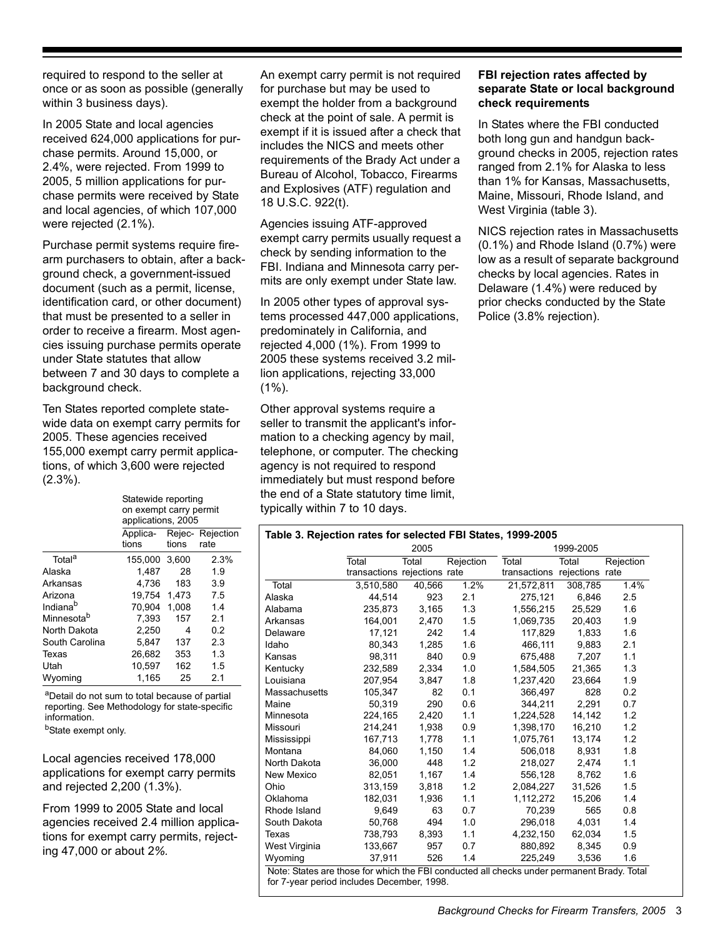required to respond to the seller at once or as soon as possible (generally within 3 business days).

In 2005 State and local agencies received 624,000 applications for purchase permits. Around 15,000, or 2.4%, were rejected. From 1999 to 2005, 5 million applications for purchase permits were received by State and local agencies, of which 107,000 were rejected (2.1%).

Purchase permit systems require firearm purchasers to obtain, after a background check, a government-issued document (such as a permit, license, identification card, or other document) that must be presented to a seller in order to receive a firearm. Most agencies issuing purchase permits operate under State statutes that allow between 7 and 30 days to complete a background check.

Ten States reported complete statewide data on exempt carry permits for 2005. These agencies received 155,000 exempt carry permit applications, of which 3,600 were rejected (2.3%).

Statewide reporting

on exempt carry permit applications, 2005 Applica- Rejec- Rejection tions tions rate Total<sup>a</sup> 155,000 3,600 2,3% Alaska 1,487 28 1.9 Arkansas 4,736 183 3.9 Arizona 19,754 1,473 7.5 Indiana<sup>b</sup> 70,904 1,008 1.4 Minnesota<sup>b</sup> 7,393 157 2.1 North Dakota 2,250 4 0.2 South Carolina 5,847 137 2.3 Texas 26,682 353 1.3 Utah 10,597 162 1.5 Wyoming 1,165 25 2.1

aDetail do not sum to total because of partial reporting. See Methodology for state-specific information.

b<sub>State</sub> exempt only.

Local agencies received 178,000 applications for exempt carry permits and rejected 2,200 (1.3%).

From 1999 to 2005 State and local agencies received 2.4 million applications for exempt carry permits, rejecting 47,000 or about 2*%.*

An exempt carry permit is not required for purchase but may be used to exempt the holder from a background check at the point of sale. A permit is exempt if it is issued after a check that includes the NICS and meets other requirements of the Brady Act under a Bureau of Alcohol, Tobacco, Firearms and Explosives (ATF) regulation and 18 U.S.C. 922(t).

Agencies issuing ATF-approved exempt carry permits usually request a check by sending information to the FBI. Indiana and Minnesota carry permits are only exempt under State law.

In 2005 other types of approval systems processed 447,000 applications, predominately in California, and rejected 4,000 (1%). From 1999 to 2005 these systems received 3.2 million applications, rejecting 33,000 (1%).

Other approval systems require a seller to transmit the applicant's information to a checking agency by mail, telephone, or computer. The checking agency is not required to respond immediately but must respond before the end of a State statutory time limit, typically within 7 to 10 days.

# **FBI rejection rates affected by separate State or local background check requirements**

In States where the FBI conducted both long gun and handgun background checks in 2005, rejection rates ranged from 2.1% for Alaska to less than 1% for Kansas, Massachusetts, Maine, Missouri, Rhode Island, and West Virginia (table 3).

NICS rejection rates in Massachusetts (0.1%) and Rhode Island (0.7%) were low as a result of separate background checks by local agencies. Rates in Delaware (1.4%) were reduced by prior checks conducted by the State Police (3.8% rejection).

|               |                              | 2005   |           |                              | 1999-2005 |           |
|---------------|------------------------------|--------|-----------|------------------------------|-----------|-----------|
|               | Total                        | Total  | Rejection | Total                        | Total     | Rejection |
|               | transactions rejections rate |        |           | transactions rejections rate |           |           |
| Total         | 3.510.580                    | 40,566 | 1.2%      | 21,572,811                   | 308,785   | 1.4%      |
| Alaska        | 44.514                       | 923    | 2.1       | 275.121                      | 6.846     | 2.5       |
| Alabama       | 235,873                      | 3,165  | 1.3       | 1,556,215                    | 25,529    | 1.6       |
| Arkansas      | 164.001                      | 2,470  | 1.5       | 1.069.735                    | 20.403    | 1.9       |
| Delaware      | 17,121                       | 242    | 1.4       | 117,829                      | 1,833     | 1.6       |
| Idaho         | 80,343                       | 1,285  | 1.6       | 466,111                      | 9,883     | 2.1       |
| Kansas        | 98,311                       | 840    | 0.9       | 675,488                      | 7,207     | 1.1       |
| Kentucky      | 232,589                      | 2,334  | 1.0       | 1,584,505                    | 21,365    | 1.3       |
| Louisiana     | 207,954                      | 3,847  | 1.8       | 1,237,420                    | 23,664    | 1.9       |
| Massachusetts | 105,347                      | 82     | 0.1       | 366,497                      | 828       | 0.2       |
| Maine         | 50,319                       | 290    | 0.6       | 344,211                      | 2,291     | 0.7       |
| Minnesota     | 224,165                      | 2,420  | 1.1       | 1,224,528                    | 14,142    | 1.2       |
| Missouri      | 214,241                      | 1,938  | 0.9       | 1,398,170                    | 16,210    | 1.2       |
| Mississippi   | 167,713                      | 1,778  | 1.1       | 1,075,761                    | 13,174    | 1.2       |
| Montana       | 84.060                       | 1,150  | 1.4       | 506.018                      | 8,931     | 1.8       |
| North Dakota  | 36,000                       | 448    | 1.2       | 218,027                      | 2,474     | 1.1       |
| New Mexico    | 82,051                       | 1,167  | 1.4       | 556,128                      | 8,762     | 1.6       |
| Ohio          | 313,159                      | 3,818  | 1.2       | 2,084,227                    | 31,526    | 1.5       |
| Oklahoma      | 182,031                      | 1,936  | 1.1       | 1.112.272                    | 15,206    | 1.4       |
| Rhode Island  | 9,649                        | 63     | 0.7       | 70,239                       | 565       | 0.8       |
| South Dakota  | 50,768                       | 494    | 1.0       | 296,018                      | 4,031     | 1.4       |
| Texas         | 738,793                      | 8,393  | 1.1       | 4,232,150                    | 62,034    | 1.5       |
| West Virginia | 133,667                      | 957    | 0.7       | 880,892                      | 8,345     | 0.9       |
| Wyoming       | 37,911                       | 526    | 1.4       | 225,249                      | 3,536     | 1.6       |

Note: States are those for which the FBI conducted all checks under permanent Brady. Total for 7-year period includes December, 1998.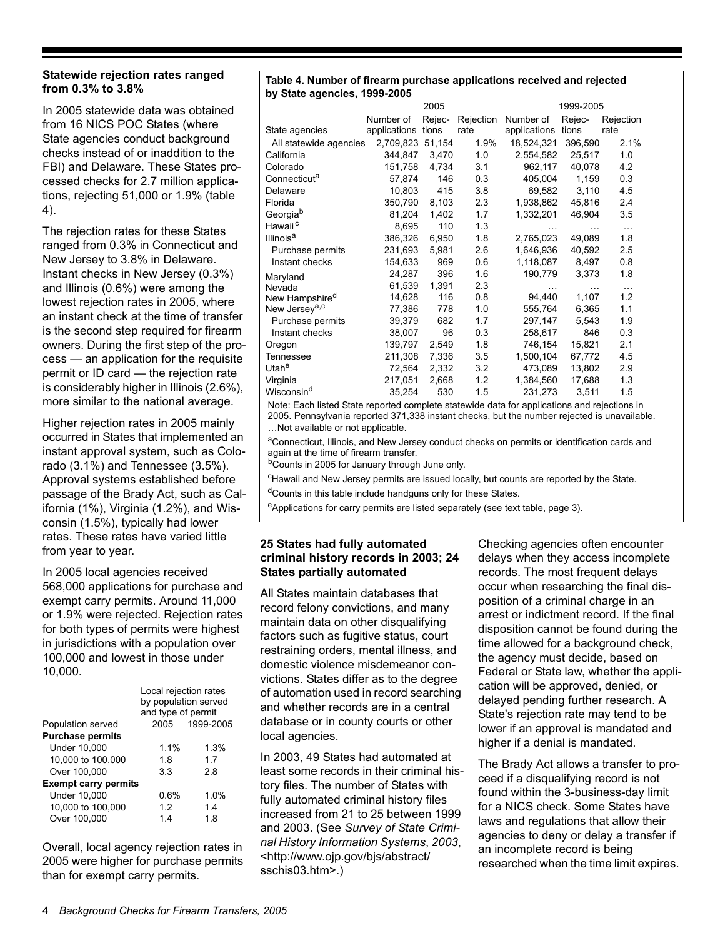# **Statewide rejection rates ranged from 0.3% to 3.8%**

In 2005 statewide data was obtained from 16 NICS POC States (where State agencies conduct background checks instead of or inaddition to the FBI) and Delaware. These States processed checks for 2.7 million applications, rejecting 51,000 or 1.9% (table 4).

The rejection rates for these States ranged from 0.3% in Connecticut and New Jersey to 3.8% in Delaware. Instant checks in New Jersey (0.3%) and Illinois (0.6%) were among the lowest rejection rates in 2005, where an instant check at the time of transfer is the second step required for firearm owners. During the first step of the process — an application for the requisite permit or ID card — the rejection rate is considerably higher in Illinois (2.6%), more similar to the national average.

Higher rejection rates in 2005 mainly occurred in States that implemented an instant approval system, such as Colorado (3.1%) and Tennessee (3.5%). Approval systems established before passage of the Brady Act, such as California (1%), Virginia (1.2%), and Wisconsin (1.5%), typically had lower rates. These rates have varied little from year to year.

In 2005 local agencies received 568,000 applications for purchase and exempt carry permits. Around 11,000 or 1.9% were rejected. Rejection rates for both types of permits were highest in jurisdictions with a population over 100,000 and lowest in those under 10,000.

|                             | Local rejection rates<br>by population served<br>and type of permit |           |
|-----------------------------|---------------------------------------------------------------------|-----------|
| Population served           | 2005                                                                | 1999-2005 |
| <b>Purchase permits</b>     |                                                                     |           |
| <b>Under 10,000</b>         | 1.1%                                                                | 1.3%      |
| 10,000 to 100,000           | 18                                                                  | 17        |
| Over 100,000                | 33                                                                  | 28        |
| <b>Exempt carry permits</b> |                                                                     |           |
| <b>Under 10,000</b>         | $0.6\%$                                                             | 1.0%      |
| 10,000 to 100,000           | 12                                                                  | 14        |
| Over 100,000                | 14                                                                  | 18        |

Overall, local agency rejection rates in 2005 were higher for purchase permits than for exempt carry permits.

#### **Table 4. Number of firearm purchase applications received and rejected by State agencies, 1999-2005**

|                                                                                                                           |                    | 2005   |           |              | 1999-2005 |           |
|---------------------------------------------------------------------------------------------------------------------------|--------------------|--------|-----------|--------------|-----------|-----------|
|                                                                                                                           | Number of          | Rejec- | Rejection | Number of    | Rejec-    | Rejection |
| State agencies                                                                                                            | applications tions |        | rate      | applications | tions     | rate      |
| All statewide agencies                                                                                                    | 2,709,823 51,154   |        | 1.9%      | 18,524,321   | 396,590   | 2.1%      |
| California                                                                                                                | 344,847            | 3,470  | 1.0       | 2,554,582    | 25,517    | 1.0       |
| Colorado                                                                                                                  | 151,758            | 4,734  | 3.1       | 962,117      | 40,078    | 4.2       |
| Connecticuta                                                                                                              | 57,874             | 146    | 0.3       | 405,004      | 1,159     | 0.3       |
| Delaware                                                                                                                  | 10,803             | 415    | 3.8       | 69,582       | 3,110     | 4.5       |
| Florida                                                                                                                   | 350,790            | 8,103  | 2.3       | 1,938,862    | 45,816    | 2.4       |
| Georgiab                                                                                                                  | 81,204             | 1,402  | 1.7       | 1,332,201    | 46,904    | 3.5       |
| Hawaii <sup>c</sup>                                                                                                       | 8,695              | 110    | 1.3       | $\cdots$     | $\cdots$  | $\cdots$  |
| Illinois <sup>a</sup>                                                                                                     | 386,326            | 6,950  | 1.8       | 2,765,023    | 49,089    | 1.8       |
| Purchase permits                                                                                                          | 231,693            | 5,981  | 2.6       | 1,646,936    | 40,592    | 2.5       |
| Instant checks                                                                                                            | 154,633            | 969    | 0.6       | 1,118,087    | 8,497     | 0.8       |
| Maryland                                                                                                                  | 24,287             | 396    | 1.6       | 190,779      | 3,373     | 1.8       |
| Nevada                                                                                                                    | 61,539             | 1,391  | 2.3       |              | $\cdots$  | $\cdots$  |
| New Hampshire <sup>d</sup>                                                                                                | 14,628             | 116    | 0.8       | 94,440       | 1,107     | 1.2       |
| New Jersey <sup>a,c</sup>                                                                                                 | 77,386             | 778    | 1.0       | 555,764      | 6,365     | 1.1       |
| Purchase permits                                                                                                          | 39,379             | 682    | 1.7       | 297,147      | 5,543     | 1.9       |
| Instant checks                                                                                                            | 38,007             | 96     | 0.3       | 258,617      | 846       | 0.3       |
| Oregon                                                                                                                    | 139,797            | 2,549  | 1.8       | 746,154      | 15,821    | 2.1       |
| <b>Tennessee</b>                                                                                                          | 211,308            | 7,336  | 3.5       | 1,500,104    | 67,772    | 45        |
| Utahe                                                                                                                     | 72,564             | 2,332  | 3.2       | 473,089      | 13,802    | 2.9       |
| Virginia                                                                                                                  | 217,051            | 2,668  | 1.2       | 1,384,560    | 17,688    | 1.3       |
| Wisconsin <sup>d</sup><br>Mater Feek listed Otate percepted experience statemide data for explications and pelositions in | 35,254             | 530    | 1.5       | 231,273      | 3,511     | 1.5       |

Note: Each listed State reported complete statewide data for applications and rejections in 2005. Pennsylvania reported 371,338 instant checks, but the number rejected is unavailable. …Not available or not applicable.

aConnecticut, Illinois, and New Jersey conduct checks on permits or identification cards and again at the time of firearm transfer.

bCounts in 2005 for January through June only.

<sup>c</sup>Hawaii and New Jersey permits are issued locally, but counts are reported by the State.

<sup>d</sup>Counts in this table include handguns only for these States.

e Applications for carry permits are listed separately (see text table, page 3).

# **25 States had fully automated criminal history records in 2003; 24 States partially automated**

All States maintain databases that record felony convictions, and many maintain data on other disqualifying factors such as fugitive status, court restraining orders, mental illness, and domestic violence misdemeanor convictions. States differ as to the degree of automation used in record searching and whether records are in a central database or in county courts or other local agencies.

In 2003, 49 States had automated at least some records in their criminal history files. The number of States with fully automated criminal history files increased from 21 to 25 between 1999 and 2003. (See *Survey of State Criminal History Information Systems*, *2003*, <http://www.ojp.gov/bjs/abstract/ sschis03.htm>.)

Checking agencies often encounter delays when they access incomplete records. The most frequent delays occur when researching the final disposition of a criminal charge in an arrest or indictment record. If the final disposition cannot be found during the time allowed for a background check, the agency must decide, based on Federal or State law, whether the application will be approved, denied, or delayed pending further research. A State's rejection rate may tend to be lower if an approval is mandated and higher if a denial is mandated.

The Brady Act allows a transfer to proceed if a disqualifying record is not found within the 3-business-day limit for a NICS check. Some States have laws and regulations that allow their agencies to deny or delay a transfer if an incomplete record is being researched when the time limit expires.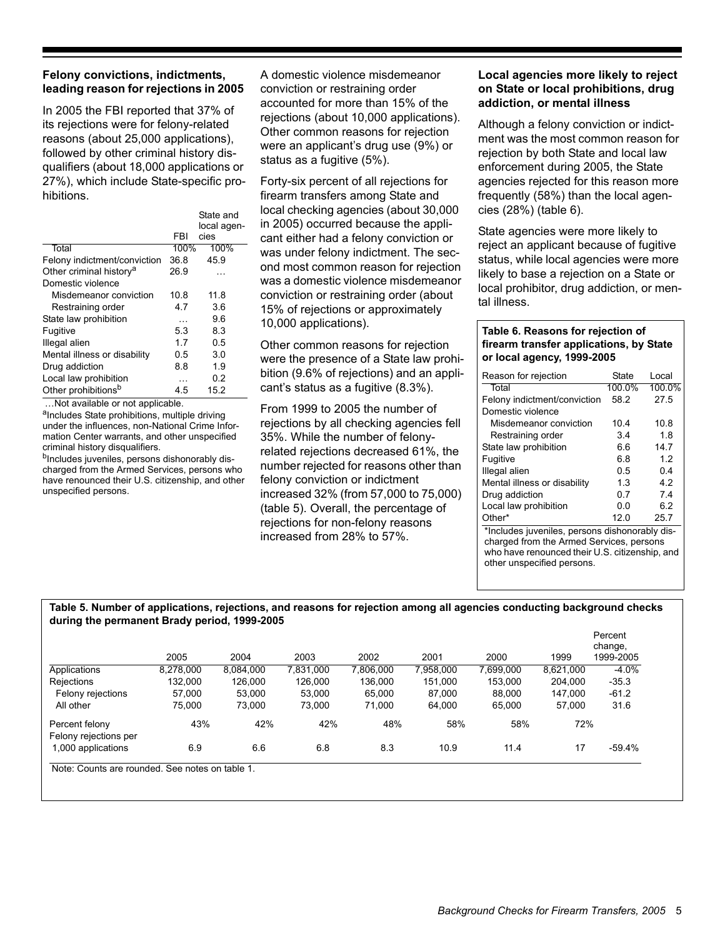# **Felony convictions, indictments, leading reason for rejections in 2005**

In 2005 the FBI reported that 37% of its rejections were for felony-related reasons (about 25,000 applications), followed by other criminal history disqualifiers (about 18,000 applications or 27%), which include State-specific prohibitions.

|                                     |            | State and<br>local agen- |
|-------------------------------------|------------|--------------------------|
|                                     | <b>FBI</b> | cies                     |
| Total                               | 100%       | 100%                     |
| Felony indictment/conviction        | 36.8       | 45.9                     |
| Other criminal history <sup>a</sup> | 26.9       |                          |
| Domestic violence                   |            |                          |
| Misdemeanor conviction              | 10.8       | 11.8                     |
| Restraining order                   | 47         | 3.6                      |
| State law prohibition               | .          | 9.6                      |
| Fugitive                            | 5.3        | 8.3                      |
| Illegal alien                       | 17         | 0.5                      |
| Mental illness or disability        | 0.5        | 3.0                      |
| Drug addiction                      | 8.8        | 1.9                      |
| Local law prohibition               |            | 0.2                      |
| Other prohibitions <sup>b</sup>     | 45         | 15.2                     |

…Not available or not applicable.

a<sub>Includes</sub> State prohibitions, multiple driving under the influences, non-National Crime Information Center warrants, and other unspecified criminal history disqualifiers.

b<sub>Includes</sub> juveniles, persons dishonorably discharged from the Armed Services, persons who have renounced their U.S. citizenship, and other unspecified persons.

A domestic violence misdemeanor conviction or restraining order accounted for more than 15% of the rejections (about 10,000 applications). Other common reasons for rejection were an applicant's drug use (9%) or status as a fugitive (5%).

Forty-six percent of all rejections for firearm transfers among State and local checking agencies (about 30,000 in 2005) occurred because the applicant either had a felony conviction or was under felony indictment. The second most common reason for rejection was a domestic violence misdemeanor conviction or restraining order (about 15% of rejections or approximately 10,000 applications).

Other common reasons for rejection were the presence of a State law prohibition (9.6% of rejections) and an applicant's status as a fugitive (8.3%).

From 1999 to 2005 the number of rejections by all checking agencies fell 35%. While the number of felonyrelated rejections decreased 61%, the number rejected for reasons other than felony conviction or indictment increased 32% (from 57,000 to 75,000) (table 5). Overall, the percentage of rejections for non-felony reasons increased from 28% to 57%.

# **Local agencies more likely to reject on State or local prohibitions, drug addiction, or mental illness**

Although a felony conviction or indictment was the most common reason for rejection by both State and local law enforcement during 2005, the State agencies rejected for this reason more frequently (58%) than the local agencies (28%) (table 6).

State agencies were more likely to reject an applicant because of fugitive status, while local agencies were more likely to base a rejection on a State or local prohibitor, drug addiction, or mental illness.

# **Table 6. Reasons for rejection of firearm transfer applications, by State or local agency, 1999-2005**

| Reason for rejection                           | State  | Local  |  |  |  |  |
|------------------------------------------------|--------|--------|--|--|--|--|
| Total                                          | 100.0% | 100.0% |  |  |  |  |
| Felony indictment/conviction                   | 58.2   | 27.5   |  |  |  |  |
| Domestic violence                              |        |        |  |  |  |  |
| Misdemeanor conviction                         | 10.4   | 10.8   |  |  |  |  |
| Restraining order                              | 3.4    | 1.8    |  |  |  |  |
| State law prohibition                          | 6.6    | 14.7   |  |  |  |  |
| Fugitive                                       | 6.8    | 1.2    |  |  |  |  |
| Illegal alien                                  | 0.5    | 0.4    |  |  |  |  |
| Mental illness or disability                   | 1.3    | 4.2    |  |  |  |  |
| Drug addiction                                 | 0.7    | 7.4    |  |  |  |  |
| Local law prohibition                          | 0.0    | 6.2    |  |  |  |  |
| Other*                                         | 12.0   | 25.7   |  |  |  |  |
| *Includes juveniles, persons dishonorably dis- |        |        |  |  |  |  |

charged from the Armed Services, persons who have renounced their U.S. citizenship, and other unspecified persons.

### **Table 5. Number of applications, rejections, and reasons for rejection among all agencies conducting background checks during the permanent Brady period, 1999-2005**

|                                         | 2005      | 2004      | 2003      | 2002      | 2001      | 2000      | 1999      | Percent<br>change,<br>1999-2005 |
|-----------------------------------------|-----------|-----------|-----------|-----------|-----------|-----------|-----------|---------------------------------|
| Applications                            | 8,278,000 | 8,084,000 | 7,831,000 | 7,806,000 | 7,958,000 | 7,699,000 | 8.621.000 | $-4.0%$                         |
| Rejections                              | 132.000   | 126,000   | 126.000   | 136.000   | 151.000   | 153.000   | 204.000   | $-35.3$                         |
| Felony rejections                       | 57.000    | 53.000    | 53.000    | 65,000    | 87.000    | 88.000    | 147.000   | $-61.2$                         |
| All other                               | 75.000    | 73,000    | 73,000    | 71,000    | 64,000    | 65.000    | 57,000    | 31.6                            |
| Percent felony<br>Felony rejections per | 43%       | 42%       | 42%       | 48%       | 58%       | 58%       | 72%       |                                 |
| 1,000 applications                      | 6.9       | 6.6       | 6.8       | 8.3       | 10.9      | 11.4      | 17        | -59.4%                          |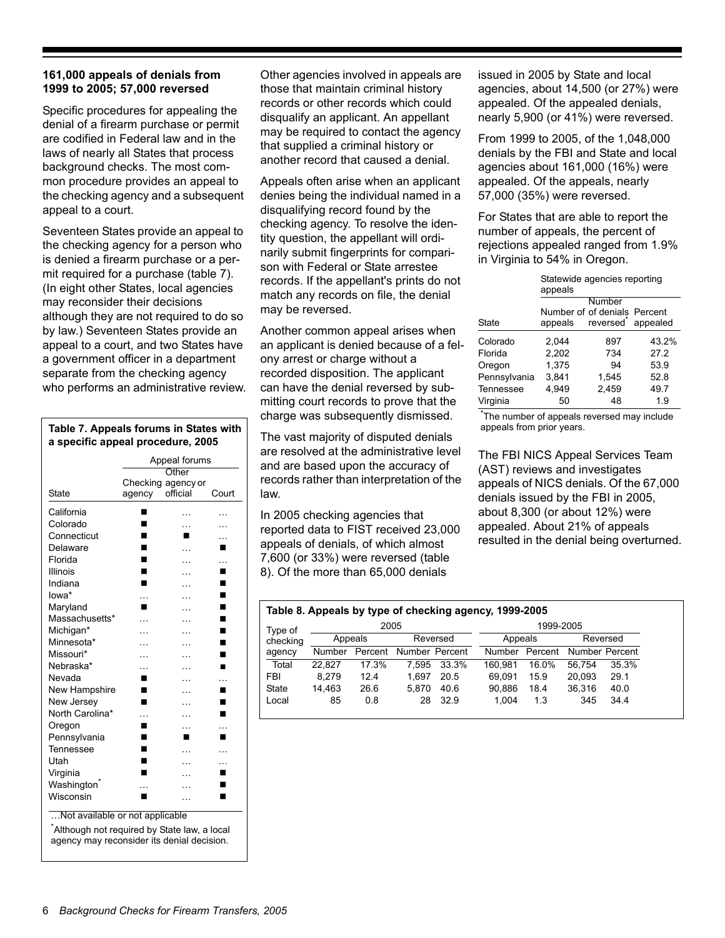# **161,000 appeals of denials from 1999 to 2005; 57,000 reversed**

Specific procedures for appealing the denial of a firearm purchase or permit are codified in Federal law and in the laws of nearly all States that process background checks. The most common procedure provides an appeal to the checking agency and a subsequent appeal to a court.

Seventeen States provide an appeal to the checking agency for a person who is denied a firearm purchase or a permit required for a purchase (table 7). (In eight other States, local agencies may reconsider their decisions although they are not required to do so by law.) Seventeen States provide an appeal to a court, and two States have a government officer in a department separate from the checking agency who performs an administrative review.

**Table 7. Appeals forums in States with** appeals from prior years. **a specific appeal procedure, 2005**  Appeal forums State Checking agency or agency **Other** official Court California ■ … … Colorado ■ … … Connecticut ■ ■ … Delaware **n** ... **n** Florida ■ … … … Illinois ■ … ■ Indiana ■ … ■ **Iowa\*** … … … ■ Maryland ■ … ■ Massachusetts\* … … Michigan\* … … Minnesota\* … … Missouri\* … … Nebraska<sup>\*</sup> … … **■** Nevada <u>■</u> … … New Hampshire ■ … ■ New Jersey  $\blacksquare$  ...  $\blacksquare$ North Carolina<sup>\*</sup> … … **■** Oregon ■ … … Pennsylvania **Denomina Denomina Denomina Denomina Denomina Denomina Denomina Denomina Denomina Denomina Denomina Denomina Denomina Denomina Denomina Denomina Denomina Denomina Denomina Denomina Denomina Denomina Denomina D** Tennessee ■ … … Utah ■ … … Virginia ■ … ■ Washington<sup>\*</sup> … … ■ Wisconsin ■ … ■

…Not available or not applicable

\* Although not required by State law, a local agency may reconsider its denial decision.

Other agencies involved in appeals are those that maintain criminal history records or other records which could disqualify an applicant. An appellant may be required to contact the agency that supplied a criminal history or another record that caused a denial.

Appeals often arise when an applicant denies being the individual named in a disqualifying record found by the checking agency. To resolve the identity question, the appellant will ordinarily submit fingerprints for comparison with Federal or State arrestee records. If the appellant's prints do not match any records on file, the denial may be reversed.

Another common appeal arises when an applicant is denied because of a felony arrest or charge without a recorded disposition. The applicant can have the denial reversed by submitting court records to prove that the charge was subsequently dismissed.

The vast majority of disputed denials are resolved at the administrative level and are based upon the accuracy of records rather than interpretation of the law.

In 2005 checking agencies that reported data to FIST received 23,000 appeals of denials, of which almost 7,600 (or 33%) were reversed (table 8). Of the more than 65,000 denials

issued in 2005 by State and local agencies, about 14,500 (or 27%) were appealed. Of the appealed denials, nearly 5,900 (or 41%) were reversed.

From 1999 to 2005, of the 1,048,000 denials by the FBI and State and local agencies about 161,000 (16%) were appealed. Of the appeals, nearly 57,000 (35%) were reversed.

For States that are able to report the number of appeals, the percent of rejections appealed ranged from 1.9% in Virginia to 54% in Oregon.

|              | Statewide agencies reporting<br>appeals |                       |          |  |  |  |  |
|--------------|-----------------------------------------|-----------------------|----------|--|--|--|--|
|              | Number                                  |                       |          |  |  |  |  |
|              | Number of of denials Percent            |                       |          |  |  |  |  |
| <b>State</b> | appeals                                 | reversed <sup>®</sup> | appealed |  |  |  |  |
| Colorado     | 2.044                                   | 897                   | 43.2%    |  |  |  |  |
| Florida      | 2,202                                   | 734                   | 27.2     |  |  |  |  |
| Oregon       | 1.375                                   | 94                    | 53.9     |  |  |  |  |
| Pennsylvania | 3,841                                   | 1,545                 | 52.8     |  |  |  |  |
| Tennessee    | 4.949                                   | 2.459                 | 49.7     |  |  |  |  |
| Virginia     | 50                                      | 48                    | 1.9      |  |  |  |  |

\* The number of appeals reversed may include

The FBI NICS Appeal Services Team (AST) reviews and investigates appeals of NICS denials. Of the 67,000 denials issued by the FBI in 2005, about 8,300 (or about 12%) were appealed. About 21% of appeals resulted in the denial being overturned.

| Table 8. Appeals by type of checking agency, 1999-2005 |        |         |                |          |         |           |                |          |
|--------------------------------------------------------|--------|---------|----------------|----------|---------|-----------|----------------|----------|
| Type of                                                |        | 2005    |                |          |         | 1999-2005 |                |          |
| checking                                               |        | Appeals |                | Reversed | Appeals |           |                | Reversed |
| agency                                                 | Number | Percent | Number Percent |          | Number  | Percent   | Number Percent |          |
| Total                                                  | 22.827 | 17.3%   | 7.595          | 33.3%    | 160.981 | 16.0%     | 56.754         | 35.3%    |
| <b>FBI</b>                                             | 8.279  | 12.4    | 1.697          | 20.5     | 69.091  | 15.9      | 20.093         | 29.1     |
| <b>State</b>                                           | 14.463 | 26.6    | 5.870          | 40.6     | 90,886  | 18.4      | 36.316         | 40.0     |
| Local                                                  | 85     | 0.8     | 28             | 32.9     | 1.004   | 1.3       | 345            | 34.4     |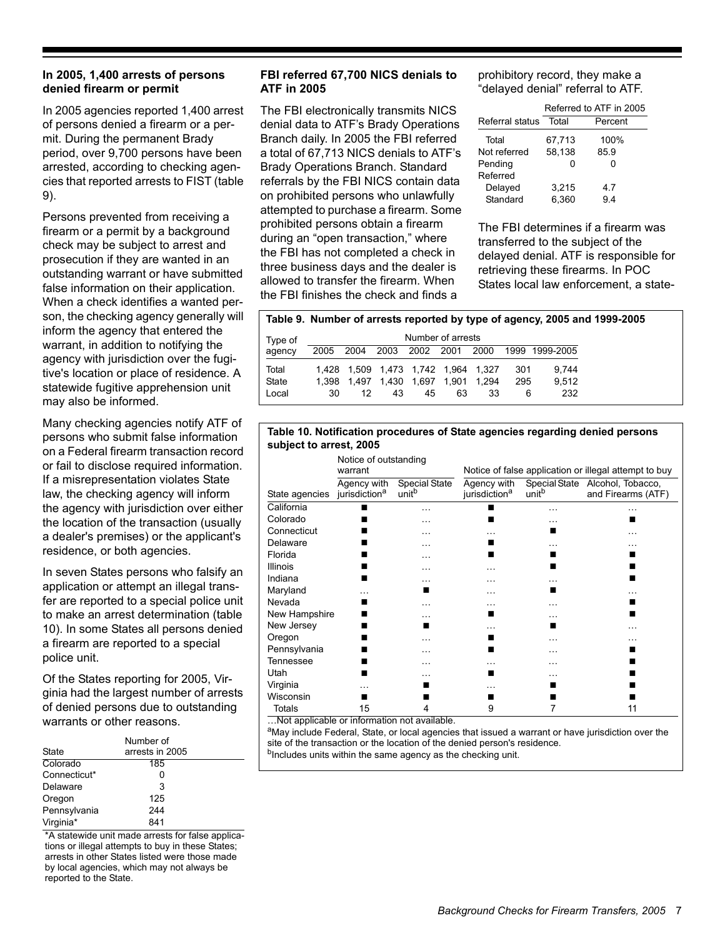# **In 2005, 1,400 arrests of persons denied firearm or permit**

In 2005 agencies reported 1,400 arrest of persons denied a firearm or a permit. During the permanent Brady period, over 9,700 persons have been arrested, according to checking agencies that reported arrests to FIST (table 9).

Persons prevented from receiving a firearm or a permit by a background check may be subject to arrest and prosecution if they are wanted in an outstanding warrant or have submitted false information on their application. When a check identifies a wanted person, the checking agency generally will inform the agency that entered the warrant, in addition to notifying the agency with jurisdiction over the fugitive's location or place of residence. A statewide fugitive apprehension unit may also be informed.

Many checking agencies notify ATF of persons who submit false information on a Federal firearm transaction record or fail to disclose required information. If a misrepresentation violates State law, the checking agency will inform the agency with jurisdiction over either the location of the transaction (usually a dealer's premises) or the applicant's residence, or both agencies.

In seven States persons who falsify an application or attempt an illegal transfer are reported to a special police unit to make an arrest determination (table 10). In some States all persons denied a firearm are reported to a special police unit.

Of the States reporting for 2005, Virginia had the largest number of arrests of denied persons due to outstanding warrants or other reasons.

| <b>State</b> | Number of<br>arrests in 2005 |  |
|--------------|------------------------------|--|
| Colorado     | 185                          |  |
| Connecticut* | Ω                            |  |
| Delaware     | 3                            |  |
| Oregon       | 125                          |  |
| Pennsylvania | 244                          |  |
| Virginia*    | 841                          |  |

\*A statewide unit made arrests for false applications or illegal attempts to buy in these States; arrests in other States listed were those made by local agencies, which may not always be reported to the State.

# **FBI referred 67,700 NICS denials to ATF in 2005**

The FBI electronically transmits NICS denial data to ATF's Brady Operations Branch daily. In 2005 the FBI referred a total of 67,713 NICS denials to ATF's Brady Operations Branch. Standard referrals by the FBI NICS contain data on prohibited persons who unlawfully attempted to purchase a firearm. Some prohibited persons obtain a firearm during an "open transaction," where the FBI has not completed a check in three business days and the dealer is allowed to transfer the firearm. When the FBI finishes the check and finds a

prohibitory record, they make a "delayed denial" referral to ATF.

|                 | Referred to ATF in 2005 |         |  |  |  |  |
|-----------------|-------------------------|---------|--|--|--|--|
| Referral status | Total                   | Percent |  |  |  |  |
| Total           | 67,713                  | 100%    |  |  |  |  |
| Not referred    | 58,138                  | 85.9    |  |  |  |  |
| Pending         |                         |         |  |  |  |  |
| Referred        |                         |         |  |  |  |  |
| Delayed         | 3,215                   | 4.7     |  |  |  |  |
| Standard        | 6,360                   | 94      |  |  |  |  |

The FBI determines if a firearm was transferred to the subject of the delayed denial. ATF is responsible for retrieving these firearms. In POC States local law enforcement, a state-

# **Table 9. Number of arrests reported by type of agency, 2005 and 1999-2005**

| Type of | Number of arrests |    |    |    |                                          |                                     |      |                |
|---------|-------------------|----|----|----|------------------------------------------|-------------------------------------|------|----------------|
| agency  |                   |    |    |    | 2005 2004 2003 2002 2001 2000            |                                     |      | 1999 1999-2005 |
| Total   |                   |    |    |    |                                          | 1.428 1.509 1.473 1.742 1.964 1.327 | -301 | 9.744          |
| State   |                   |    |    |    | 1.398  1.497  1.430  1.697  1.901  1.294 |                                     | 295  | 9.512          |
| Local   | 30.               | 12 | 43 | 45 | 63                                       | 33                                  | 6    | 232            |

## **Table 10. Notification procedures of State agencies regarding denied persons subject to arrest, 2005**

|                                        | Notice of outstanding<br>warrant         |                                           | Notice of false application or illegal attempt to buy |                   |                                                       |  |
|----------------------------------------|------------------------------------------|-------------------------------------------|-------------------------------------------------------|-------------------|-------------------------------------------------------|--|
| State agencies                         | Agency with<br>jurisdiction <sup>a</sup> | <b>Special State</b><br>unit <sup>b</sup> | Agency with<br>jurisdiction <sup>a</sup>              | unit <sup>b</sup> | Special State Alcohol, Tobacco,<br>and Firearms (ATF) |  |
| California                             |                                          | .                                         |                                                       | .                 | .                                                     |  |
| Colorado                               |                                          |                                           |                                                       |                   |                                                       |  |
| Connecticut                            |                                          | .                                         |                                                       |                   | .                                                     |  |
| Delaware                               |                                          |                                           |                                                       |                   |                                                       |  |
| Florida                                |                                          |                                           |                                                       |                   |                                                       |  |
| <b>Illinois</b>                        |                                          | .                                         |                                                       |                   |                                                       |  |
| Indiana                                |                                          |                                           |                                                       |                   |                                                       |  |
| Maryland                               |                                          |                                           |                                                       |                   |                                                       |  |
| Nevada                                 |                                          | .                                         |                                                       |                   |                                                       |  |
| New Hampshire                          |                                          |                                           |                                                       |                   |                                                       |  |
| New Jersey                             |                                          |                                           |                                                       | ٠                 | .                                                     |  |
| Oregon                                 |                                          |                                           |                                                       |                   | .                                                     |  |
| Pennsylvania                           |                                          |                                           |                                                       | .                 |                                                       |  |
| Tennessee                              |                                          |                                           |                                                       | .                 |                                                       |  |
| Utah                                   |                                          |                                           |                                                       |                   |                                                       |  |
| Virginia                               |                                          |                                           |                                                       |                   |                                                       |  |
| Wisconsin                              |                                          |                                           |                                                       |                   |                                                       |  |
| Totals<br>$1 - 1$<br>$\mathbf{r}$<br>. | 15<br>$\mathbf{r}$                       | 4<br>$1 - 1 - 1$                          | 9                                                     | 7                 | 11                                                    |  |

…Not applicable or information not available.

aMay include Federal, State, or local agencies that issued a warrant or have jurisdiction over the site of the transaction or the location of the denied person's residence. bIncludes units within the same agency as the checking unit.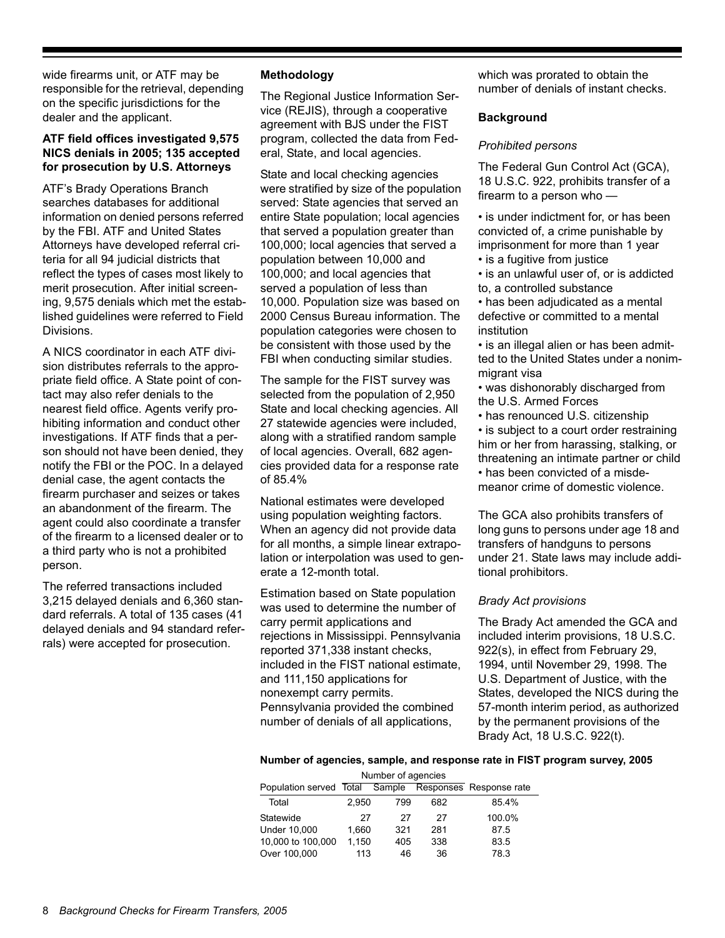wide firearms unit, or ATF may be responsible for the retrieval, depending on the specific jurisdictions for the dealer and the applicant.

# **ATF field offices investigated 9,575 NICS denials in 2005; 135 accepted for prosecution by U.S. Attorneys**

ATF's Brady Operations Branch searches databases for additional information on denied persons referred by the FBI. ATF and United States Attorneys have developed referral criteria for all 94 judicial districts that reflect the types of cases most likely to merit prosecution. After initial screening, 9,575 denials which met the established guidelines were referred to Field Divisions.

A NICS coordinator in each ATF division distributes referrals to the appropriate field office. A State point of contact may also refer denials to the nearest field office. Agents verify prohibiting information and conduct other investigations. If ATF finds that a person should not have been denied, they notify the FBI or the POC. In a delayed denial case, the agent contacts the firearm purchaser and seizes or takes an abandonment of the firearm. The agent could also coordinate a transfer of the firearm to a licensed dealer or to a third party who is not a prohibited person.

The referred transactions included 3,215 delayed denials and 6,360 standard referrals. A total of 135 cases (41 delayed denials and 94 standard referrals) were accepted for prosecution.

# **Methodology**

The Regional Justice Information Service (REJIS), through a cooperative agreement with BJS under the FIST program, collected the data from Federal, State, and local agencies.

State and local checking agencies were stratified by size of the population served: State agencies that served an entire State population; local agencies that served a population greater than 100,000; local agencies that served a population between 10,000 and 100,000; and local agencies that served a population of less than 10,000. Population size was based on 2000 Census Bureau information. The population categories were chosen to be consistent with those used by the FBI when conducting similar studies.

The sample for the FIST survey was selected from the population of 2,950 State and local checking agencies. All 27 statewide agencies were included, along with a stratified random sample of local agencies. Overall, 682 agencies provided data for a response rate of 85.4%

National estimates were developed using population weighting factors. When an agency did not provide data for all months, a simple linear extrapolation or interpolation was used to generate a 12-month total.

Estimation based on State population was used to determine the number of carry permit applications and rejections in Mississippi. Pennsylvania reported 371,338 instant checks, included in the FIST national estimate, and 111,150 applications for nonexempt carry permits. Pennsylvania provided the combined number of denials of all applications,

which was prorated to obtain the number of denials of instant checks.

# **Background**

# *Prohibited persons*

The Federal Gun Control Act (GCA), 18 U.S.C. 922, prohibits transfer of a firearm to a person who —

• is under indictment for, or has been convicted of, a crime punishable by imprisonment for more than 1 year

- is a fugitive from justice
- is an unlawful user of, or is addicted to, a controlled substance
- has been adjudicated as a mental defective or committed to a mental institution
- is an illegal alien or has been admitted to the United States under a nonimmigrant visa
- was dishonorably discharged from the U.S. Armed Forces
- has renounced U.S. citizenship • is subject to a court order restraining him or her from harassing, stalking, or threatening an intimate partner or child • has been convicted of a misdemeanor crime of domestic violence.

The GCA also prohibits transfers of long guns to persons under age 18 and transfers of handguns to persons under 21. State laws may include additional prohibitors.

# *Brady Act provisions*

The Brady Act amended the GCA and included interim provisions, 18 U.S.C. 922(s), in effect from February 29, 1994, until November 29, 1998. The U.S. Department of Justice, with the States, developed the NICS during the 57-month interim period, as authorized by the permanent provisions of the Brady Act, 18 U.S.C. 922(t).

### **Number of agencies, sample, and response rate in FIST program survey, 2005**

| Number of agencies      |       |        |     |                         |  |
|-------------------------|-------|--------|-----|-------------------------|--|
| Population served Total |       | Sample |     | Responses Response rate |  |
| Total                   | 2.950 | 799    | 682 | 85.4%                   |  |
| Statewide               | 27    | 27     | 27  | 100.0%                  |  |
| Under 10,000            | 1.660 | 321    | 281 | 87.5                    |  |
| 10,000 to 100,000       | 1.150 | 405    | 338 | 83.5                    |  |
| Over 100,000            | 113   | 46     | 36  | 78.3                    |  |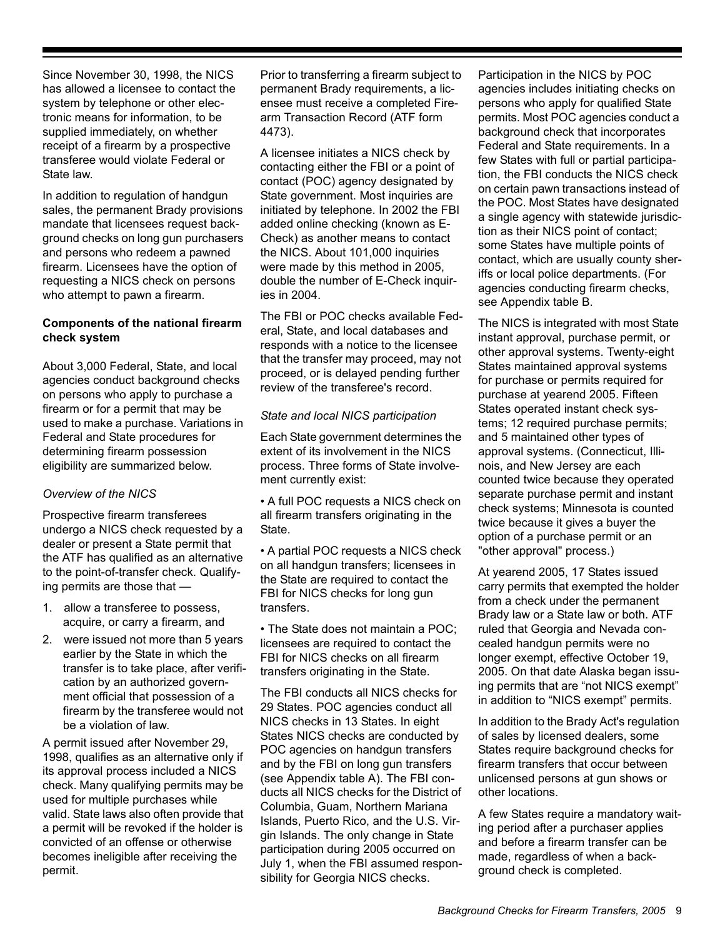Since November 30, 1998, the NICS has allowed a licensee to contact the system by telephone or other electronic means for information, to be supplied immediately, on whether receipt of a firearm by a prospective transferee would violate Federal or State law.

In addition to regulation of handgun sales, the permanent Brady provisions mandate that licensees request background checks on long gun purchasers and persons who redeem a pawned firearm. Licensees have the option of requesting a NICS check on persons who attempt to pawn a firearm.

# **Components of the national firearm check system**

About 3,000 Federal, State, and local agencies conduct background checks on persons who apply to purchase a firearm or for a permit that may be used to make a purchase. Variations in Federal and State procedures for determining firearm possession eligibility are summarized below.

# *Overview of the NICS*

Prospective firearm transferees undergo a NICS check requested by a dealer or present a State permit that the ATF has qualified as an alternative to the point-of-transfer check. Qualifying permits are those that —

- 1. allow a transferee to possess, acquire, or carry a firearm, and
- 2. were issued not more than 5 years earlier by the State in which the transfer is to take place, after verification by an authorized government official that possession of a firearm by the transferee would not be a violation of law.

A permit issued after November 29, 1998, qualifies as an alternative only if its approval process included a NICS check. Many qualifying permits may be used for multiple purchases while valid. State laws also often provide that a permit will be revoked if the holder is convicted of an offense or otherwise becomes ineligible after receiving the permit.

Prior to transferring a firearm subject to permanent Brady requirements, a licensee must receive a completed Firearm Transaction Record (ATF form 4473).

A licensee initiates a NICS check by contacting either the FBI or a point of contact (POC) agency designated by State government. Most inquiries are initiated by telephone. In 2002 the FBI added online checking (known as E-Check) as another means to contact the NICS. About 101,000 inquiries were made by this method in 2005, double the number of E-Check inquiries in 2004.

The FBI or POC checks available Federal, State, and local databases and responds with a notice to the licensee that the transfer may proceed, may not proceed, or is delayed pending further review of the transferee's record.

# *State and local NICS participation*

Each State government determines the extent of its involvement in the NICS process. Three forms of State involvement currently exist:

• A full POC requests a NICS check on all firearm transfers originating in the State.

• A partial POC requests a NICS check on all handgun transfers; licensees in the State are required to contact the FBI for NICS checks for long gun transfers.

• The State does not maintain a POC; licensees are required to contact the FBI for NICS checks on all firearm transfers originating in the State.

The FBI conducts all NICS checks for 29 States. POC agencies conduct all NICS checks in 13 States. In eight States NICS checks are conducted by POC agencies on handgun transfers and by the FBI on long gun transfers (see Appendix table A). The FBI conducts all NICS checks for the District of Columbia, Guam, Northern Mariana Islands, Puerto Rico, and the U.S. Virgin Islands. The only change in State participation during 2005 occurred on July 1, when the FBI assumed responsibility for Georgia NICS checks.

Participation in the NICS by POC agencies includes initiating checks on persons who apply for qualified State permits. Most POC agencies conduct a background check that incorporates Federal and State requirements. In a few States with full or partial participation, the FBI conducts the NICS check on certain pawn transactions instead of the POC. Most States have designated a single agency with statewide jurisdiction as their NICS point of contact; some States have multiple points of contact, which are usually county sheriffs or local police departments. (For agencies conducting firearm checks, see Appendix table B.

The NICS is integrated with most State instant approval, purchase permit, or other approval systems. Twenty-eight States maintained approval systems for purchase or permits required for purchase at yearend 2005. Fifteen States operated instant check systems; 12 required purchase permits; and 5 maintained other types of approval systems. (Connecticut, Illinois, and New Jersey are each counted twice because they operated separate purchase permit and instant check systems; Minnesota is counted twice because it gives a buyer the option of a purchase permit or an "other approval" process.)

At yearend 2005, 17 States issued carry permits that exempted the holder from a check under the permanent Brady law or a State law or both. ATF ruled that Georgia and Nevada concealed handgun permits were no longer exempt, effective October 19, 2005. On that date Alaska began issuing permits that are "not NICS exempt" in addition to "NICS exempt" permits.

In addition to the Brady Act's regulation of sales by licensed dealers, some States require background checks for firearm transfers that occur between unlicensed persons at gun shows or other locations.

A few States require a mandatory waiting period after a purchaser applies and before a firearm transfer can be made, regardless of when a background check is completed.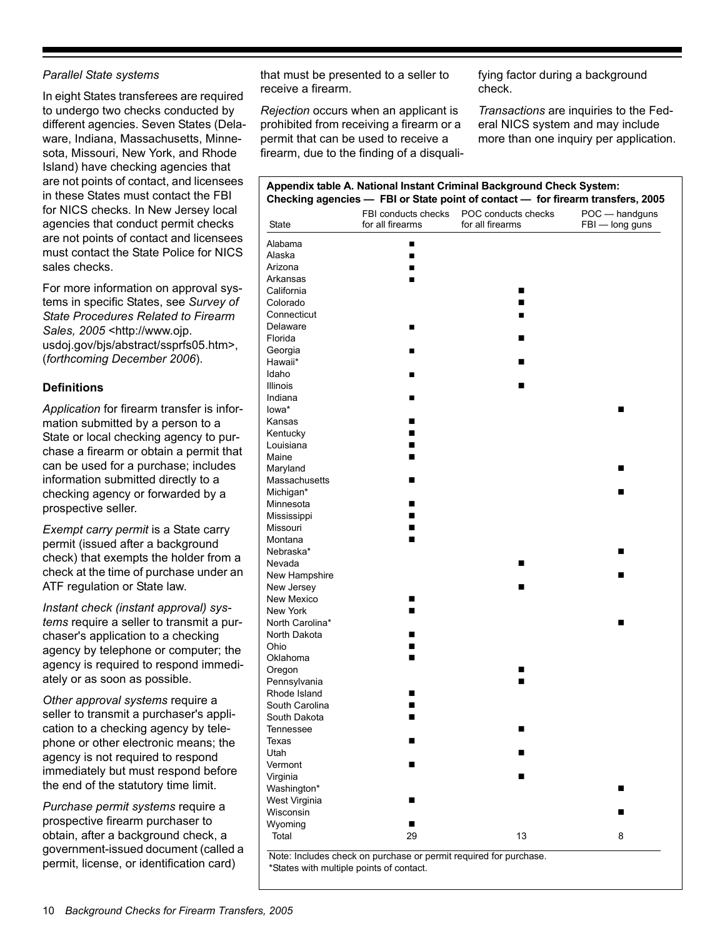# *Parallel State systems*

In eight States transferees are required to undergo two checks conducted by different agencies. Seven States (Delaware, Indiana, Massachusetts, Minnesota, Missouri, New York, and Rhode Island) have checking agencies that are not points of contact, and licensees in these States must contact the FBI for NICS checks. In New Jersey local agencies that conduct permit checks are not points of contact and licensees must contact the State Police for NICS sales checks.

For more information on approval systems in specific States, see *Survey of State Procedures Related to Firearm Sales, 2005* <http://www.ojp. usdoj.gov/bjs/abstract/ssprfs05.htm>, (*forthcoming December 2006*).

# **Definitions**

*Application* for firearm transfer is information submitted by a person to a State or local checking agency to purchase a firearm or obtain a permit that can be used for a purchase; includes information submitted directly to a checking agency or forwarded by a prospective seller.

*Exempt carry permit* is a State carry permit (issued after a background check) that exempts the holder from a check at the time of purchase under an ATF regulation or State law.

*Instant check (instant approval) systems* require a seller to transmit a purchaser's application to a checking agency by telephone or computer; the agency is required to respond immediately or as soon as possible.

*Other approval systems* require a seller to transmit a purchaser's application to a checking agency by telephone or other electronic means; the agency is not required to respond immediately but must respond before the end of the statutory time limit.

*Purchase permit systems* require a prospective firearm purchaser to obtain, after a background check, a government-issued document (called a permit, license, or identification card)

that must be presented to a seller to receive a firearm.

*Rejection* occurs when an applicant is prohibited from receiving a firearm or a permit that can be used to receive a firearm, due to the finding of a disqualifying factor during a background check.

*Transactions* are inquiries to the Federal NICS system and may include more than one inquiry per application.

| Appendix table A. National Instant Criminal Background Check System:<br>Checking agencies - FBI or State point of contact - for firearm transfers, 2005 |                                         |                                         |                                   |  |
|---------------------------------------------------------------------------------------------------------------------------------------------------------|-----------------------------------------|-----------------------------------------|-----------------------------------|--|
| State                                                                                                                                                   | FBI conducts checks<br>for all firearms | POC conducts checks<br>for all firearms | POC - handguns<br>FBI - long guns |  |
| Alabama                                                                                                                                                 | ■                                       |                                         |                                   |  |
| Alaska                                                                                                                                                  | ■                                       |                                         |                                   |  |
| Arizona                                                                                                                                                 |                                         |                                         |                                   |  |
| Arkansas                                                                                                                                                |                                         |                                         |                                   |  |
| California                                                                                                                                              |                                         | ■                                       |                                   |  |
| Colorado                                                                                                                                                |                                         | ■                                       |                                   |  |
| Connecticut                                                                                                                                             |                                         |                                         |                                   |  |
| Delaware                                                                                                                                                | ■                                       |                                         |                                   |  |
| Florida                                                                                                                                                 |                                         | п                                       |                                   |  |
| Georgia                                                                                                                                                 | ■                                       |                                         |                                   |  |
| Hawaii*                                                                                                                                                 |                                         | ■                                       |                                   |  |
| Idaho                                                                                                                                                   | ■                                       |                                         |                                   |  |
| Illinois                                                                                                                                                |                                         | ■                                       |                                   |  |
| Indiana                                                                                                                                                 | ■                                       |                                         |                                   |  |
| lowa*                                                                                                                                                   |                                         |                                         | ■                                 |  |
| Kansas                                                                                                                                                  | ■                                       |                                         |                                   |  |
| Kentucky                                                                                                                                                | ■                                       |                                         |                                   |  |
| Louisiana                                                                                                                                               |                                         |                                         |                                   |  |
| Maine                                                                                                                                                   | ■                                       |                                         |                                   |  |
| Maryland                                                                                                                                                |                                         |                                         | ■                                 |  |
| Massachusetts                                                                                                                                           | ■                                       |                                         |                                   |  |
| Michigan*                                                                                                                                               |                                         |                                         | ш                                 |  |
| Minnesota                                                                                                                                               | ■                                       |                                         |                                   |  |
| Mississippi                                                                                                                                             |                                         |                                         |                                   |  |
| Missouri                                                                                                                                                | ■                                       |                                         |                                   |  |
| Montana                                                                                                                                                 | ■                                       |                                         |                                   |  |
| Nebraska*                                                                                                                                               |                                         |                                         | ■                                 |  |
| Nevada                                                                                                                                                  |                                         | п                                       |                                   |  |
| New Hampshire                                                                                                                                           |                                         |                                         | п                                 |  |
| New Jersey                                                                                                                                              |                                         | П                                       |                                   |  |
| New Mexico                                                                                                                                              | ■                                       |                                         |                                   |  |
| New York                                                                                                                                                | ■                                       |                                         |                                   |  |
| North Carolina*                                                                                                                                         |                                         |                                         | ■                                 |  |
| North Dakota                                                                                                                                            | ■                                       |                                         |                                   |  |
| Ohio                                                                                                                                                    | ■                                       |                                         |                                   |  |
| Oklahoma                                                                                                                                                | ■                                       |                                         |                                   |  |
| Oregon                                                                                                                                                  |                                         | ■                                       |                                   |  |
| Pennsylvania                                                                                                                                            |                                         | ■                                       |                                   |  |
| Rhode Island                                                                                                                                            | n                                       |                                         |                                   |  |
| South Carolina                                                                                                                                          | ■                                       |                                         |                                   |  |
| South Dakota                                                                                                                                            | ■                                       |                                         |                                   |  |
| Tennessee                                                                                                                                               |                                         | П                                       |                                   |  |
| Texas                                                                                                                                                   | ■                                       |                                         |                                   |  |
| Utah                                                                                                                                                    |                                         | ■                                       |                                   |  |
| Vermont                                                                                                                                                 | ■                                       |                                         |                                   |  |
| Virginia                                                                                                                                                |                                         | ■                                       |                                   |  |
| Washington*                                                                                                                                             |                                         |                                         | ■                                 |  |
|                                                                                                                                                         |                                         |                                         |                                   |  |
| West Virginia<br>Wisconsin                                                                                                                              | ■                                       |                                         |                                   |  |
|                                                                                                                                                         |                                         |                                         | ■                                 |  |
| Wyoming                                                                                                                                                 | ■                                       |                                         |                                   |  |
| Total                                                                                                                                                   | 29                                      | 13                                      | 8                                 |  |

Note: Includes check on purchase or permit required for purchase. \*States with multiple points of contact.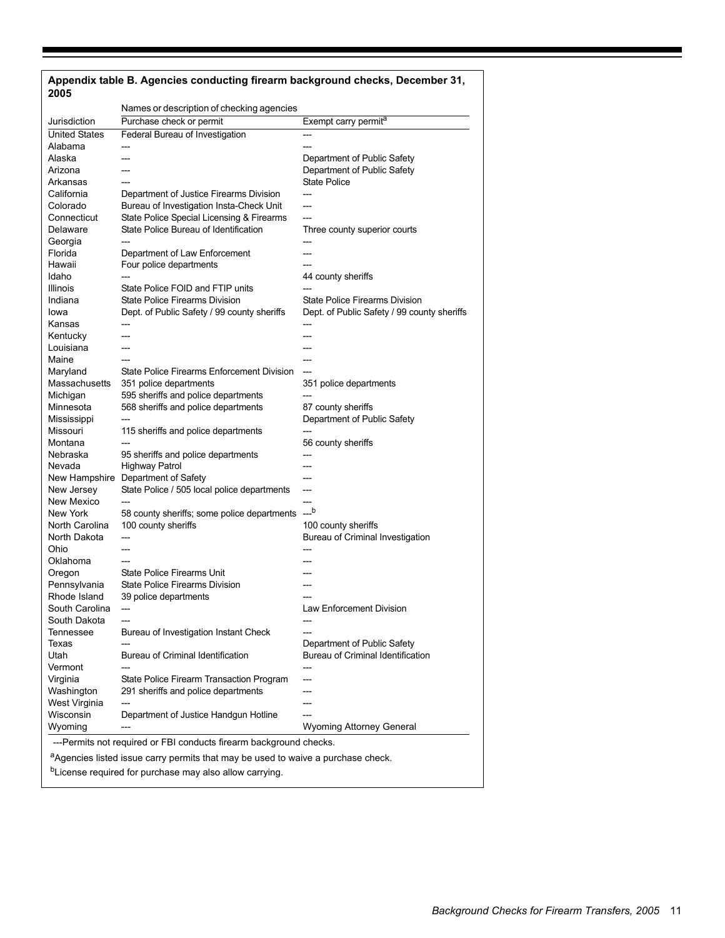| 2005                                                                                         |                                             |                                             |  |
|----------------------------------------------------------------------------------------------|---------------------------------------------|---------------------------------------------|--|
|                                                                                              | Names or description of checking agencies   |                                             |  |
| Jurisdiction                                                                                 | Purchase check or permit                    | Exempt carry permit <sup>a</sup>            |  |
| <b>United States</b>                                                                         | Federal Bureau of Investigation             |                                             |  |
| Alabama                                                                                      | ---                                         | ---                                         |  |
| Alaska                                                                                       |                                             | Department of Public Safety                 |  |
| Arizona                                                                                      |                                             | Department of Public Safety                 |  |
| Arkansas                                                                                     | ---                                         | State Police                                |  |
| California                                                                                   | Department of Justice Firearms Division     |                                             |  |
| Colorado                                                                                     | Bureau of Investigation Insta-Check Unit    | ---                                         |  |
| Connecticut                                                                                  | State Police Special Licensing & Firearms   | ---                                         |  |
| Delaware                                                                                     | State Police Bureau of Identification       | Three county superior courts                |  |
| Georgia                                                                                      |                                             |                                             |  |
| Florida                                                                                      | Department of Law Enforcement               | ---                                         |  |
| Hawaii                                                                                       | Four police departments                     |                                             |  |
| Idaho                                                                                        | $\overline{a}$                              | 44 county sheriffs                          |  |
| Illinois                                                                                     | State Police FOID and FTIP units            |                                             |  |
| Indiana                                                                                      | State Police Firearms Division              | <b>State Police Firearms Division</b>       |  |
| Iowa                                                                                         | Dept. of Public Safety / 99 county sheriffs | Dept. of Public Safety / 99 county sheriffs |  |
| Kansas                                                                                       |                                             |                                             |  |
| Kentucky                                                                                     | ---                                         |                                             |  |
| Louisiana                                                                                    |                                             |                                             |  |
| Maine                                                                                        | ---                                         | ---                                         |  |
| Maryland                                                                                     | State Police Firearms Enforcement Division  |                                             |  |
| Massachusetts                                                                                | 351 police departments                      | 351 police departments                      |  |
| Michigan                                                                                     | 595 sheriffs and police departments         |                                             |  |
| Minnesota                                                                                    | 568 sheriffs and police departments         | 87 county sheriffs                          |  |
| Mississippi                                                                                  |                                             | Department of Public Safety                 |  |
| Missouri                                                                                     | 115 sheriffs and police departments         | ---                                         |  |
| Montana                                                                                      |                                             | 56 county sheriffs                          |  |
| Nebraska                                                                                     | 95 sheriffs and police departments          |                                             |  |
| Nevada                                                                                       | <b>Highway Patrol</b>                       | ---                                         |  |
|                                                                                              | New Hampshire Department of Safety          | ---                                         |  |
| New Jersey                                                                                   | State Police / 505 local police departments | ---                                         |  |
| New Mexico                                                                                   |                                             | ---                                         |  |
| New York                                                                                     | 58 county sheriffs; some police departments | $-$ b                                       |  |
| North Carolina                                                                               | 100 county sheriffs                         | 100 county sheriffs                         |  |
| North Dakota                                                                                 | ---                                         | Bureau of Criminal Investigation            |  |
| Ohio                                                                                         |                                             |                                             |  |
| Oklahoma                                                                                     |                                             |                                             |  |
| Oregon                                                                                       | <b>State Police Firearms Unit</b>           |                                             |  |
| Pennsylvania                                                                                 | State Police Firearms Division              |                                             |  |
| Rhode Island                                                                                 | 39 police departments                       |                                             |  |
| South Carolina                                                                               | $\overline{a}$                              | <b>Law Enforcement Division</b>             |  |
| South Dakota                                                                                 |                                             |                                             |  |
| Tennessee                                                                                    | Bureau of Investigation Instant Check       |                                             |  |
| Texas                                                                                        |                                             | Department of Public Safety                 |  |
| Utah                                                                                         | Bureau of Criminal Identification           | Bureau of Criminal Identification           |  |
| Vermont                                                                                      |                                             |                                             |  |
| Virginia                                                                                     | State Police Firearm Transaction Program    | ---                                         |  |
| Washington                                                                                   | 291 sheriffs and police departments         |                                             |  |
| West Virginia                                                                                |                                             |                                             |  |
| Wisconsin                                                                                    | Department of Justice Handgun Hotline       |                                             |  |
| Wyoming                                                                                      |                                             | <b>Wyoming Attorney General</b>             |  |
|                                                                                              |                                             |                                             |  |
| ---Permits not required or FBI conducts firearm background checks.                           |                                             |                                             |  |
| <sup>a</sup> Agencies listed issue carry permits that may be used to waive a purchase check. |                                             |                                             |  |
| <sup>b</sup> License required for purchase may also allow carrying.                          |                                             |                                             |  |

# **Appendix table B. Agencies conducting firearm background checks, December 31,**